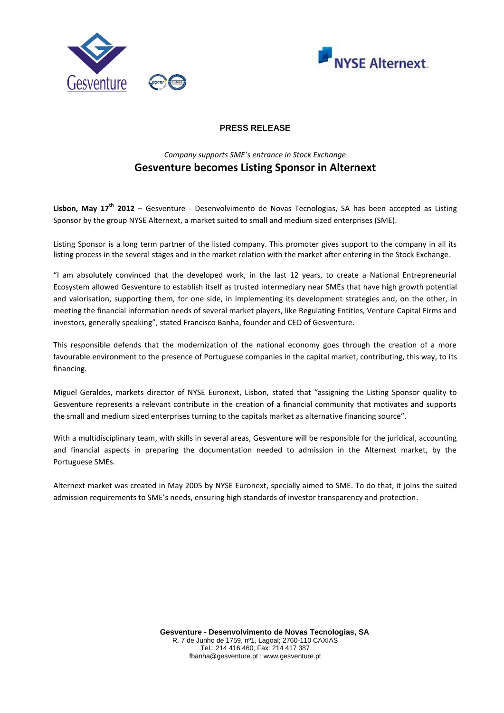



# **PRESS RELEASE**

# *Company supports SME's entrance in Stock Exchange*  **Gesventure becomes Listing Sponsor in Alternext**

**Lisbon, May 17th 2012** – Gesventure - Desenvolvimento de Novas Tecnologias, SA has been accepted as Listing Sponsor by the group NYSE Alternext, a market suited to small and medium sized enterprises (SME).

Listing Sponsor is a long term partner of the listed company. This promoter gives support to the company in all its listing process in the several stages and in the market relation with the market after entering in the Stock Exchange.

"I am absolutely convinced that the developed work, in the last 12 years, to create a National Entrepreneurial Ecosystem allowed Gesventure to establish itself as trusted intermediary near SMEs that have high growth potential and valorisation, supporting them, for one side, in implementing its development strategies and, on the other, in meeting the financial information needs of several market players, like Regulating Entities, Venture Capital Firms and investors, generally speaking", stated Francisco Banha, founder and CEO of Gesventure.

This responsible defends that the modernization of the national economy goes through the creation of a more favourable environment to the presence of Portuguese companies in the capital market, contributing, this way, to its financing.

Miguel Geraldes, markets director of NYSE Euronext, Lisbon, stated that "assigning the Listing Sponsor quality to Gesventure represents a relevant contribute in the creation of a financial community that motivates and supports the small and medium sized enterprises turning to the capitals market as alternative financing source".

With a multidisciplinary team, with skills in several areas, Gesventure will be responsible for the juridical, accounting and financial aspects in preparing the documentation needed to admission in the Alternext market, by the Portuguese SMEs.

Alternext market was created in May 2005 by NYSE Euronext, specially aimed to SME. To do that, it joins the suited admission requirements to SME's needs, ensuring high standards of investor transparency and protection.